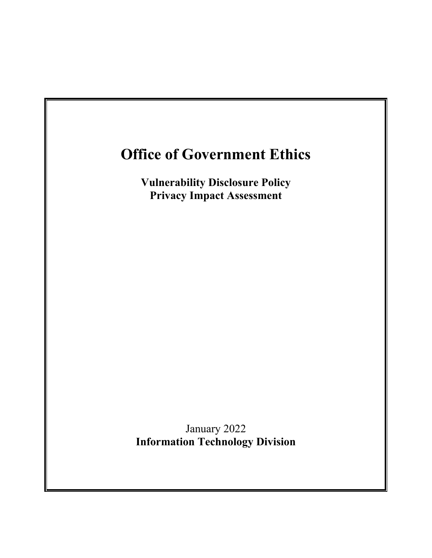# **Office of Government Ethics**

**Vulnerability Disclosure Policy Privacy Impact Assessment**

January 2022 **Information Technology Division**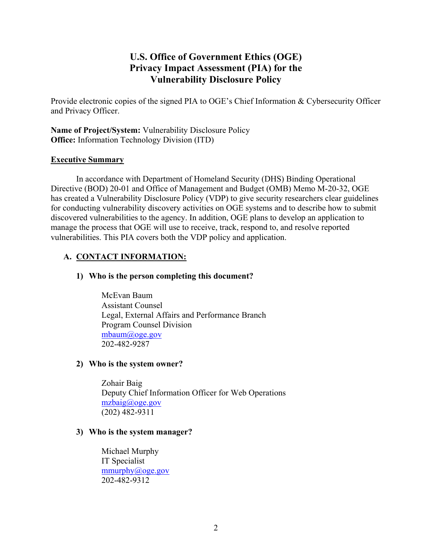# **U.S. Office of Government Ethics (OGE) Privacy Impact Assessment (PIA) for the Vulnerability Disclosure Policy**

Provide electronic copies of the signed PIA to OGE's Chief Information & Cybersecurity Officer and Privacy Officer.

**Name of Project/System:** Vulnerability Disclosure Policy **Office:** Information Technology Division (ITD)

### **Executive Summary**

In accordance with Department of Homeland Security (DHS) Binding Operational Directive (BOD) 20-01 and Office of Management and Budget (OMB) Memo M-20-32, OGE has created a Vulnerability Disclosure Policy (VDP) to give security researchers clear guidelines for conducting vulnerability discovery activities on OGE systems and to describe how to submit discovered vulnerabilities to the agency. In addition, OGE plans to develop an application to manage the process that OGE will use to receive, track, respond to, and resolve reported vulnerabilities. This PIA covers both the VDP policy and application.

# **A. CONTACT INFORMATION:**

### **1) Who is the person completing this document?**

McEvan Baum Assistant Counsel Legal, External Affairs and Performance Branch Program Counsel Division mbaum@oge.gov 202-482-9287

#### **2) Who is the system owner?**

Zohair Baig Deputy Chief Information Officer for Web Operations [mzbaig@oge.gov](mailto:mzbaig@oge.gov) (202) 482-9311

#### **3) Who is the system manager?**

Michael Murphy IT Specialist [mmurphy@oge.gov](mailto:mmurphy@oge.gov) 202-482-9312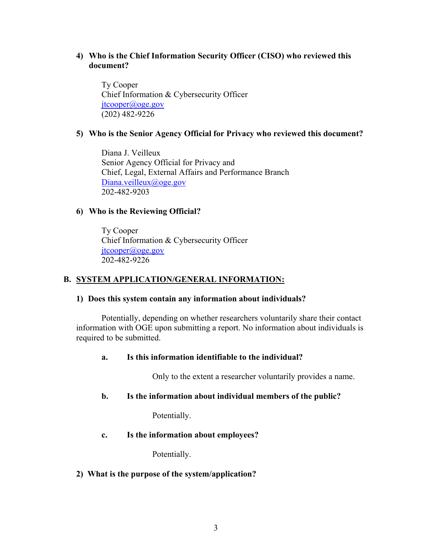# **4) Who is the Chief Information Security Officer (CISO) who reviewed this document?**

Ty Cooper Chief Information & Cybersecurity Officer [jtcooper@oge.gov](mailto:jtcooper@oge.gov) (202) 482-9226

# **5) Who is the Senior Agency Official for Privacy who reviewed this document?**

Diana J. Veilleux Senior Agency Official for Privacy and Chief, Legal, External Affairs and Performance Branch [Diana.veilleux@oge.gov](mailto:Diana.veilleux@oge.gov) 202-482-9203

#### **6) Who is the Reviewing Official?**

 Ty Cooper Chief Information & Cybersecurity Officer [jtcooper@oge.gov](mailto:jtcooper@oge.gov) 202-482-9226

# **B. SYSTEM APPLICATION/GENERAL INFORMATION:**

#### **1) Does this system contain any information about individuals?**

Potentially, depending on whether researchers voluntarily share their contact information with OGE upon submitting a report. No information about individuals is required to be submitted.

#### **a. Is this information identifiable to the individual?**

Only to the extent a researcher voluntarily provides a name.

#### **b. Is the information about individual members of the public?**

Potentially.

#### **c. Is the information about employees?**

Potentially.

#### **2) What is the purpose of the system/application?**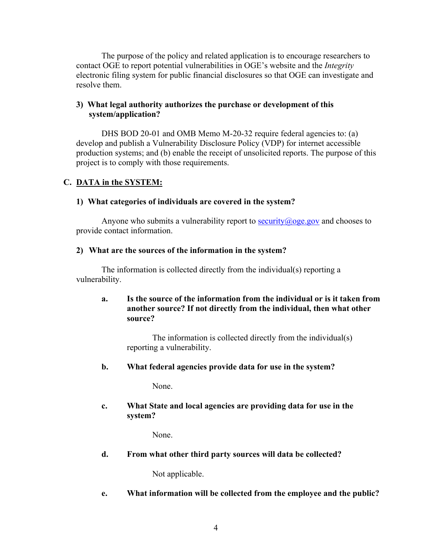The purpose of the policy and related application is to encourage researchers to contact OGE to report potential vulnerabilities in OGE's website and the *Integrity* electronic filing system for public financial disclosures so that OGE can investigate and resolve them.

# **3) What legal authority authorizes the purchase or development of this system/application?**

DHS BOD 20-01 and OMB Memo M-20-32 require federal agencies to: (a) develop and publish a Vulnerability Disclosure Policy (VDP) for internet accessible production systems; and (b) enable the receipt of unsolicited reports. The purpose of this project is to comply with those requirements.

# **C. DATA in the SYSTEM:**

### **1) What categories of individuals are covered in the system?**

Anyone who submits a vulnerability report to security  $(a)$  oge gov and chooses to provide contact information.

### **2) What are the sources of the information in the system?**

The information is collected directly from the individual(s) reporting a vulnerability.

# **a. Is the source of the information from the individual or is it taken from another source? If not directly from the individual, then what other source?**

The information is collected directly from the individual(s) reporting a vulnerability.

# **b. What federal agencies provide data for use in the system?**

None.

# **c. What State and local agencies are providing data for use in the system?**

None.

**d. From what other third party sources will data be collected?**

Not applicable.

**e. What information will be collected from the employee and the public?**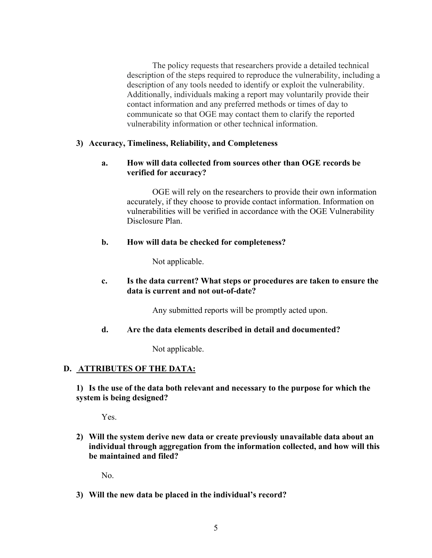The policy requests that researchers provide a detailed technical description of the steps required to reproduce the vulnerability, including a description of any tools needed to identify or exploit the vulnerability. Additionally, individuals making a report may voluntarily provide their contact information and any preferred methods or times of day to communicate so that OGE may contact them to clarify the reported vulnerability information or other technical information.

### **3) Accuracy, Timeliness, Reliability, and Completeness**

# **a. How will data collected from sources other than OGE records be verified for accuracy?**

OGE will rely on the researchers to provide their own information accurately, if they choose to provide contact information. Information on vulnerabilities will be verified in accordance with the OGE Vulnerability Disclosure Plan.

### **b. How will data be checked for completeness?**

Not applicable.

# **c. Is the data current? What steps or procedures are taken to ensure the data is current and not out-of-date?**

Any submitted reports will be promptly acted upon.

#### **d. Are the data elements described in detail and documented?**

Not applicable.

# **D. ATTRIBUTES OF THE DATA:**

**1) Is the use of the data both relevant and necessary to the purpose for which the system is being designed?**

Yes.

**2) Will the system derive new data or create previously unavailable data about an individual through aggregation from the information collected, and how will this be maintained and filed?**

No.

**3) Will the new data be placed in the individual's record?**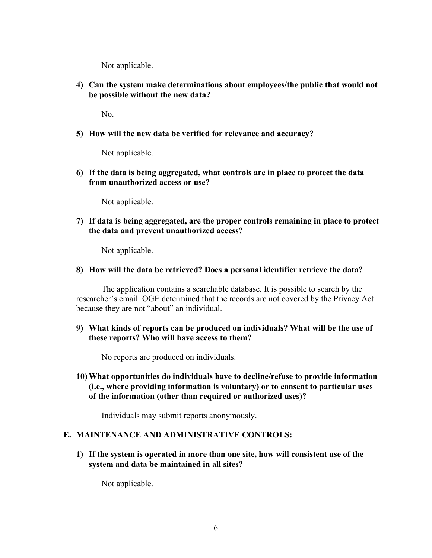Not applicable.

**4) Can the system make determinations about employees/the public that would not be possible without the new data?**

No.

**5) How will the new data be verified for relevance and accuracy?**

Not applicable.

**6) If the data is being aggregated, what controls are in place to protect the data from unauthorized access or use?**

Not applicable.

**7) If data is being aggregated, are the proper controls remaining in place to protect the data and prevent unauthorized access?** 

Not applicable.

**8) How will the data be retrieved? Does a personal identifier retrieve the data?**

The application contains a searchable database. It is possible to search by the researcher's email. OGE determined that the records are not covered by the Privacy Act because they are not "about" an individual.

**9) What kinds of reports can be produced on individuals? What will be the use of these reports? Who will have access to them?**

No reports are produced on individuals.

**10) What opportunities do individuals have to decline/refuse to provide information (i.e., where providing information is voluntary) or to consent to particular uses of the information (other than required or authorized uses)?**

Individuals may submit reports anonymously.

#### **E. MAINTENANCE AND ADMINISTRATIVE CONTROLS:**

**1) If the system is operated in more than one site, how will consistent use of the system and data be maintained in all sites?**

Not applicable.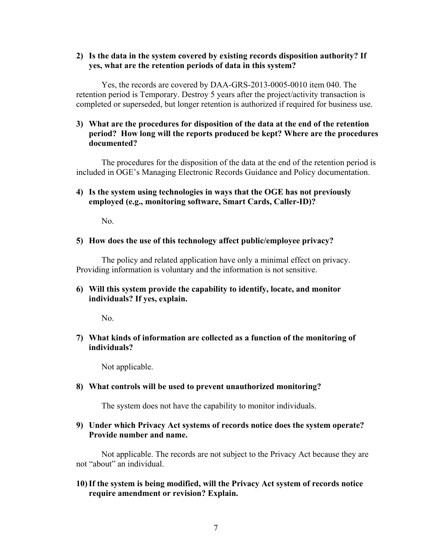#### **2) Is the data in the system covered by existing records disposition authority? If yes, what are the retention periods of data in this system?**

Yes, the records are covered by DAA-GRS-2013-0005-0010 item 040. The retention period is Temporary. Destroy 5 years after the project/activity transaction is completed or superseded, but longer retention is authorized if required for business use.

### **3) What are the procedures for disposition of the data at the end of the retention period? How long will the reports produced be kept? Where are the procedures documented?**

The procedures for the disposition of the data at the end of the retention period is included in OGE's Managing Electronic Records Guidance and Policy documentation.

### **4) Is the system using technologies in ways that the OGE has not previously employed (e.g., monitoring software, Smart Cards, Caller-ID)?**

No.

#### **5) How does the use of this technology affect public/employee privacy?**

The policy and related application have only a minimal effect on privacy. Providing information is voluntary and the information is not sensitive.

# **6) Will this system provide the capability to identify, locate, and monitor individuals? If yes, explain.**

No.

# **7) What kinds of information are collected as a function of the monitoring of individuals?**

Not applicable.

#### **8) What controls will be used to prevent unauthorized monitoring?**

The system does not have the capability to monitor individuals.

### **9) Under which Privacy Act systems of records notice does the system operate? Provide number and name.**

Not applicable. The records are not subject to the Privacy Act because they are not "about" an individual.

# **10)If the system is being modified, will the Privacy Act system of records notice require amendment or revision? Explain.**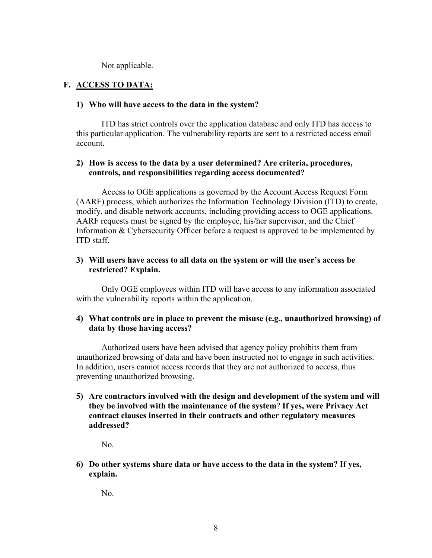Not applicable.

### **F. ACCESS TO DATA:**

#### **1) Who will have access to the data in the system?**

ITD has strict controls over the application database and only ITD has access to this particular application. The vulnerability reports are sent to a restricted access email account.

### **2) How is access to the data by a user determined? Are criteria, procedures, controls, and responsibilities regarding access documented?**

Access to OGE applications is governed by the Account Access Request Form (AARF) process, which authorizes the Information Technology Division (ITD) to create, modify, and disable network accounts, including providing access to OGE applications. AARF requests must be signed by the employee, his/her supervisor, and the Chief Information & Cybersecurity Officer before a request is approved to be implemented by ITD staff.

#### **3) Will users have access to all data on the system or will the user's access be restricted? Explain.**

Only OGE employees within ITD will have access to any information associated with the vulnerability reports within the application.

#### **4) What controls are in place to prevent the misuse (e.g., unauthorized browsing) of data by those having access?**

Authorized users have been advised that agency policy prohibits them from unauthorized browsing of data and have been instructed not to engage in such activities. In addition, users cannot access records that they are not authorized to access, thus preventing unauthorized browsing.

**5) Are contractors involved with the design and development of the system and will they be involved with the maintenance of the system**? **If yes, were Privacy Act contract clauses inserted in their contracts and other regulatory measures addressed?**

No.

**6) Do other systems share data or have access to the data in the system? If yes, explain.**

No.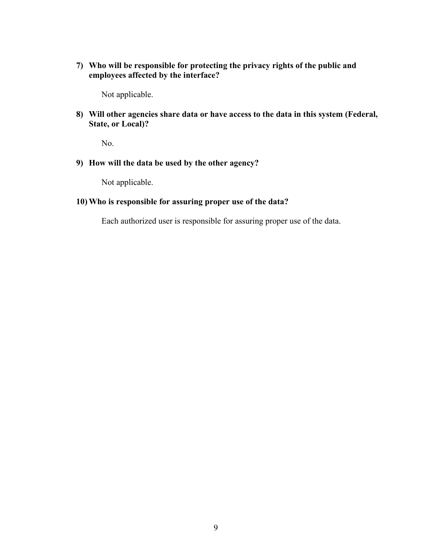**7) Who will be responsible for protecting the privacy rights of the public and employees affected by the interface?**

Not applicable.

**8) Will other agencies share data or have access to the data in this system (Federal, State, or Local)?**

No.

**9) How will the data be used by the other agency?**

Not applicable.

#### **10) Who is responsible for assuring proper use of the data?**

Each authorized user is responsible for assuring proper use of the data.